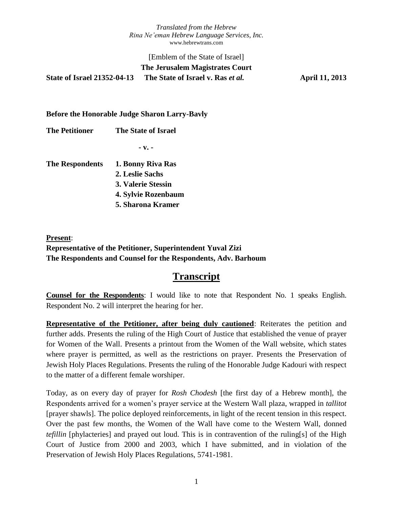## [Emblem of the State of Israel] **The Jerusalem Magistrates Court State of Israel 21352-04-13 The State of Israel v. Ras** *et al.* **April 11, 2013**

#### **Before the Honorable Judge Sharon Larry-Bavly**

**The Petitioner The State of Israel**

**- v. -**

| <b>The Respondents</b> | 1. Bonny Riva Ras        |
|------------------------|--------------------------|
|                        | 2. Leslie Sachs          |
|                        | 3. Valerie Stessin       |
|                        | 4. Sylvie Rozenbaum      |
|                        | <b>5. Sharona Kramer</b> |

**Present**: **Representative of the Petitioner, Superintendent Yuval Zizi The Respondents and Counsel for the Respondents, Adv. Barhoum**

## **Transcript**

**Counsel for the Respondents**: I would like to note that Respondent No. 1 speaks English. Respondent No. 2 will interpret the hearing for her.

**Representative of the Petitioner, after being duly cautioned**: Reiterates the petition and further adds. Presents the ruling of the High Court of Justice that established the venue of prayer for Women of the Wall. Presents a printout from the Women of the Wall website, which states where prayer is permitted, as well as the restrictions on prayer. Presents the Preservation of Jewish Holy Places Regulations. Presents the ruling of the Honorable Judge Kadouri with respect to the matter of a different female worshiper.

Today, as on every day of prayer for *Rosh Chodesh* [the first day of a Hebrew month], the Respondents arrived for a women's prayer service at the Western Wall plaza, wrapped in *tallitot*  [prayer shawls]. The police deployed reinforcements, in light of the recent tension in this respect. Over the past few months, the Women of the Wall have come to the Western Wall, donned *tefillin* [phylacteries] and prayed out loud. This is in contravention of the ruling[s] of the High Court of Justice from 2000 and 2003, which I have submitted, and in violation of the Preservation of Jewish Holy Places Regulations, 5741-1981.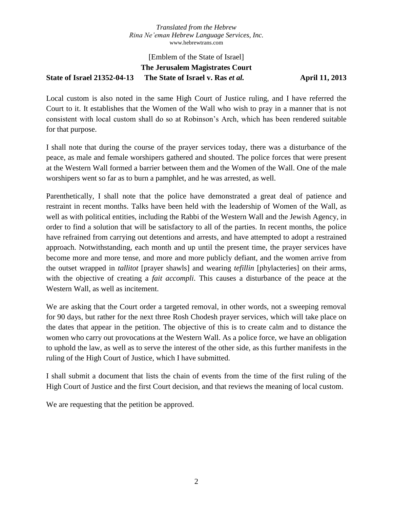## [Emblem of the State of Israel] **The Jerusalem Magistrates Court State of Israel 21352-04-13 The State of Israel v. Ras** *et al.* **April 11, 2013**

Local custom is also noted in the same High Court of Justice ruling, and I have referred the Court to it. It establishes that the Women of the Wall who wish to pray in a manner that is not consistent with local custom shall do so at Robinson's Arch, which has been rendered suitable for that purpose.

I shall note that during the course of the prayer services today, there was a disturbance of the peace, as male and female worshipers gathered and shouted. The police forces that were present at the Western Wall formed a barrier between them and the Women of the Wall. One of the male worshipers went so far as to burn a pamphlet, and he was arrested, as well.

Parenthetically, I shall note that the police have demonstrated a great deal of patience and restraint in recent months. Talks have been held with the leadership of Women of the Wall, as well as with political entities, including the Rabbi of the Western Wall and the Jewish Agency, in order to find a solution that will be satisfactory to all of the parties. In recent months, the police have refrained from carrying out detentions and arrests, and have attempted to adopt a restrained approach. Notwithstanding, each month and up until the present time, the prayer services have become more and more tense, and more and more publicly defiant, and the women arrive from the outset wrapped in *tallitot* [prayer shawls] and wearing *tefillin* [phylacteries] on their arms, with the objective of creating a *fait accompli*. This causes a disturbance of the peace at the Western Wall, as well as incitement.

We are asking that the Court order a targeted removal, in other words, not a sweeping removal for 90 days, but rather for the next three Rosh Chodesh prayer services, which will take place on the dates that appear in the petition. The objective of this is to create calm and to distance the women who carry out provocations at the Western Wall. As a police force, we have an obligation to uphold the law, as well as to serve the interest of the other side, as this further manifests in the ruling of the High Court of Justice, which I have submitted.

I shall submit a document that lists the chain of events from the time of the first ruling of the High Court of Justice and the first Court decision, and that reviews the meaning of local custom.

We are requesting that the petition be approved.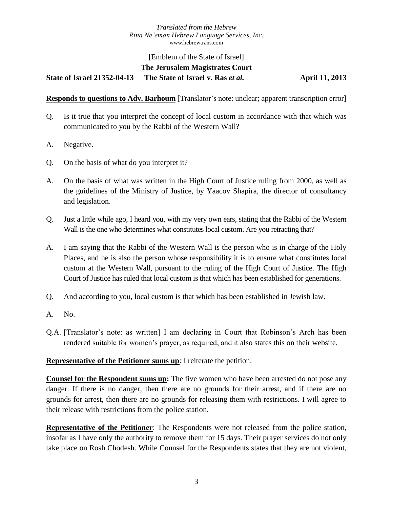# [Emblem of the State of Israel] **The Jerusalem Magistrates Court**

**State of Israel 21352-04-13 The State of Israel v. Ras** *et al.* **April 11, 2013**

**Responds to questions to Adv. Barhoum** [Translator's note: unclear; apparent transcription error]

- Q. Is it true that you interpret the concept of local custom in accordance with that which was communicated to you by the Rabbi of the Western Wall?
- A. Negative.
- Q. On the basis of what do you interpret it?
- A. On the basis of what was written in the High Court of Justice ruling from 2000, as well as the guidelines of the Ministry of Justice, by Yaacov Shapira, the director of consultancy and legislation.
- Q. Just a little while ago, I heard you, with my very own ears, stating that the Rabbi of the Western Wall is the one who determines what constitutes local custom. Are you retracting that?
- A. I am saying that the Rabbi of the Western Wall is the person who is in charge of the Holy Places, and he is also the person whose responsibility it is to ensure what constitutes local custom at the Western Wall, pursuant to the ruling of the High Court of Justice. The High Court of Justice has ruled that local custom is that which has been established for generations.
- Q. And according to you, local custom is that which has been established in Jewish law.
- A. No.
- Q.A. [Translator's note: as written] I am declaring in Court that Robinson's Arch has been rendered suitable for women's prayer, as required, and it also states this on their website.

#### **Representative of the Petitioner sums up**: I reiterate the petition.

**Counsel for the Respondent sums up:** The five women who have been arrested do not pose any danger. If there is no danger, then there are no grounds for their arrest, and if there are no grounds for arrest, then there are no grounds for releasing them with restrictions. I will agree to their release with restrictions from the police station.

**Representative of the Petitioner**: The Respondents were not released from the police station, insofar as I have only the authority to remove them for 15 days. Their prayer services do not only take place on Rosh Chodesh. While Counsel for the Respondents states that they are not violent,